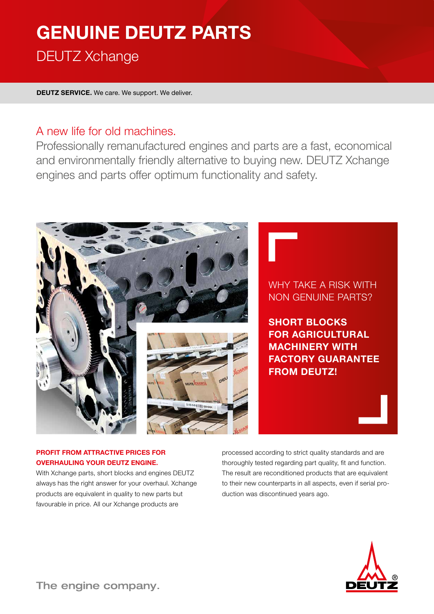# **GENUINE DEUTZ PARTS** DEUTZ Xchange

**DEUTZ SERVICE.** We care. We support. We deliver.

## A new life for old machines.

Professionally remanufactured engines and parts are a fast, economical and environmentally friendly alternative to buying new. DEUTZ Xchange engines and parts offer optimum functionality and safety.



## WHY TAKE A RISK WITH NON GENUINE PARTS?

**SHORT BLOCKS FOR AGRICULTURAL MACHINERY WITH FACTORY GUARANTEE FROM DEUTZ!**

#### **PROFIT FROM ATTRACTIVE PRICES FOR OVERHAULING YOUR DEUTZ ENGINE.**

With Xchange parts, short blocks and engines DEUTZ always has the right answer for your overhaul. Xchange products are equivalent in quality to new parts but favourable in price. All our Xchange products are

processed according to strict quality standards and are thoroughly tested regarding part quality, fit and function. The result are reconditioned products that are equivalent to their new counterparts in all aspects, even if serial production was discontinued years ago.